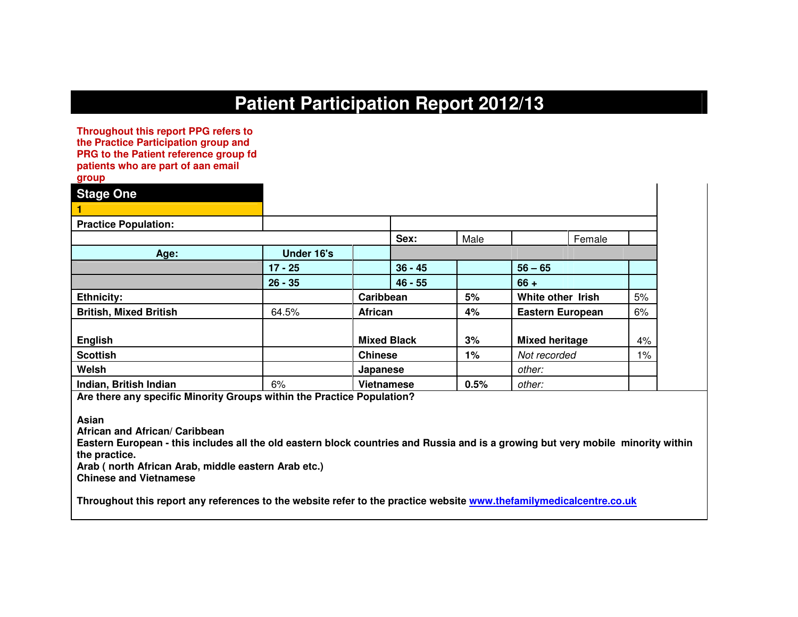# **Patient Participation Report 2012/13**

**Throughout this report PPG refers to the Practice Participation group and PRG to the Patient reference group fd patients who are part of aan email group** 

| $5 - - -$                     |            |                    |       |                         |       |
|-------------------------------|------------|--------------------|-------|-------------------------|-------|
| <b>Stage One</b>              |            |                    |       |                         |       |
|                               |            |                    |       |                         |       |
| <b>Practice Population:</b>   |            |                    |       |                         |       |
|                               |            | Sex:               | Male  | Female                  |       |
| Age:                          | Under 16's |                    |       |                         |       |
|                               | $17 - 25$  | $36 - 45$          |       | $56 - 65$               |       |
|                               | $26 - 35$  | $46 - 55$          |       | $66 +$                  |       |
| <b>Ethnicity:</b>             |            | Caribbean          | 5%    | White other Irish       | 5%    |
| <b>British, Mixed British</b> | 64.5%      | <b>African</b>     | 4%    | <b>Eastern European</b> | 6%    |
| <b>English</b>                |            | <b>Mixed Black</b> | 3%    | <b>Mixed heritage</b>   | 4%    |
| <b>Scottish</b>               |            | <b>Chinese</b>     | $1\%$ | Not recorded            | $1\%$ |
| Welsh                         |            | Japanese           |       | other:                  |       |
| Indian, British Indian        | 6%         | <b>Vietnamese</b>  | 0.5%  | other:                  |       |

**Are there any specific Minority Groups within the Practice Population?** 

**Asian** 

**African and African/ Caribbean** 

 **Eastern European - this includes all the old eastern block countries and Russia and is a growing but very mobile minority within the practice.** 

**Arab ( north African Arab, middle eastern Arab etc.)** 

**Chinese and Vietnamese** 

**Throughout this report any references to the website refer to the practice website www.thefamilymedicalcentre.co.uk**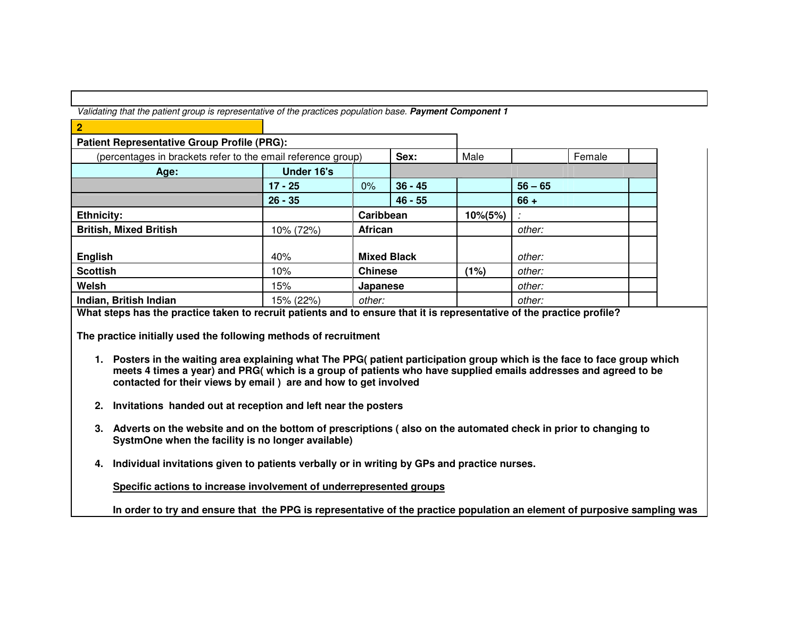Validating that the patient group is representative of the practices population base. **Payment Component 1**

| $\overline{2}$                                               |            |                |                    |             |           |        |  |
|--------------------------------------------------------------|------------|----------------|--------------------|-------------|-----------|--------|--|
| <b>Patient Representative Group Profile (PRG):</b>           |            |                |                    |             |           |        |  |
| (percentages in brackets refer to the email reference group) |            |                | Sex:               | Male        |           | Female |  |
| Age:                                                         | Under 16's |                |                    |             |           |        |  |
|                                                              | $17 - 25$  | 0%             | $36 - 45$          |             | $56 - 65$ |        |  |
|                                                              | $26 - 35$  |                | $46 - 55$          |             | $66 +$    |        |  |
| <b>Ethnicity:</b>                                            |            | Caribbean      |                    | $10\%(5\%)$ |           |        |  |
| <b>British, Mixed British</b>                                | 10% (72%)  | African        |                    |             | other:    |        |  |
|                                                              |            |                |                    |             |           |        |  |
| <b>English</b>                                               | 40%        |                | <b>Mixed Black</b> |             | other:    |        |  |
| <b>Scottish</b>                                              | 10%        | <b>Chinese</b> |                    | (1%)        | other:    |        |  |
| Welsh                                                        | 15%        | Japanese       |                    |             | other:    |        |  |
| Indian, British Indian                                       | 15% (22%)  | other:         |                    |             | other:    |        |  |

**What steps has the practice taken to recruit patients and to ensure that it is representative of the practice profile?** 

**The practice initially used the following methods of recruitment** 

- **1. Posters in the waiting area explaining what The PPG( patient participation group which is the face to face group which meets 4 times a year) and PRG( which is a group of patients who have supplied emails addresses and agreed to be contacted for their views by email ) are and how to get involved**
- **2. Invitations handed out at reception and left near the posters**
- **3. Adverts on the website and on the bottom of prescriptions ( also on the automated check in prior to changing to SystmOne when the facility is no longer available)**
- **4. Individual invitations given to patients verbally or in writing by GPs and practice nurses.**

**Specific actions to increase involvement of underrepresented groups**

**In order to try and ensure that the PPG is representative of the practice population an element of purposive sampling was**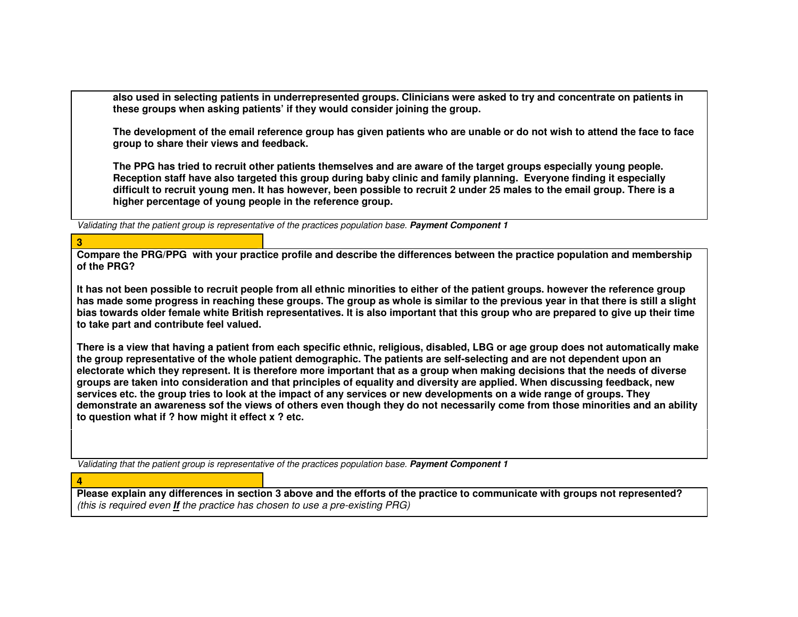**also used in selecting patients in underrepresented groups. Clinicians were asked to try and concentrate on patients in these groups when asking patients' if they would consider joining the group.** 

**The development of the email reference group has given patients who are unable or do not wish to attend the face to face group to share their views and feedback.** 

**The PPG has tried to recruit other patients themselves and are aware of the target groups especially young people. Reception staff have also targeted this group during baby clinic and family planning. Everyone finding it especially difficult to recruit young men. It has however, been possible to recruit 2 under 25 males to the email group. There is a higher percentage of young people in the reference group.** 

Validating that the patient group is representative of the practices population base. **Payment Component 1**

#### **3**

**4** 

 **Compare the PRG/PPG with your practice profile and describe the differences between the practice population and membership of the PRG?** 

**It has not been possible to recruit people from all ethnic minorities to either of the patient groups. however the reference group has made some progress in reaching these groups. The group as whole is similar to the previous year in that there is still a slight bias towards older female white British representatives. It is also important that this group who are prepared to give up their time to take part and contribute feel valued.** 

**There is a view that having a patient from each specific ethnic, religious, disabled, LBG or age group does not automatically make the group representative of the whole patient demographic. The patients are self-selecting and are not dependent upon an electorate which they represent. It is therefore more important that as a group when making decisions that the needs of diverse groups are taken into consideration and that principles of equality and diversity are applied. When discussing feedback, new services etc. the group tries to look at the impact of any services or new developments on a wide range of groups. They demonstrate an awareness sof the views of others even though they do not necessarily come from those minorities and an ability to question what if ? how might it effect x ? etc.** 

Validating that the patient group is representative of the practices population base. **Payment Component 1**

 **Please explain any differences in section 3 above and the efforts of the practice to communicate with groups not represented?** (this is required even **If** the practice has chosen to use a pre-existing PRG)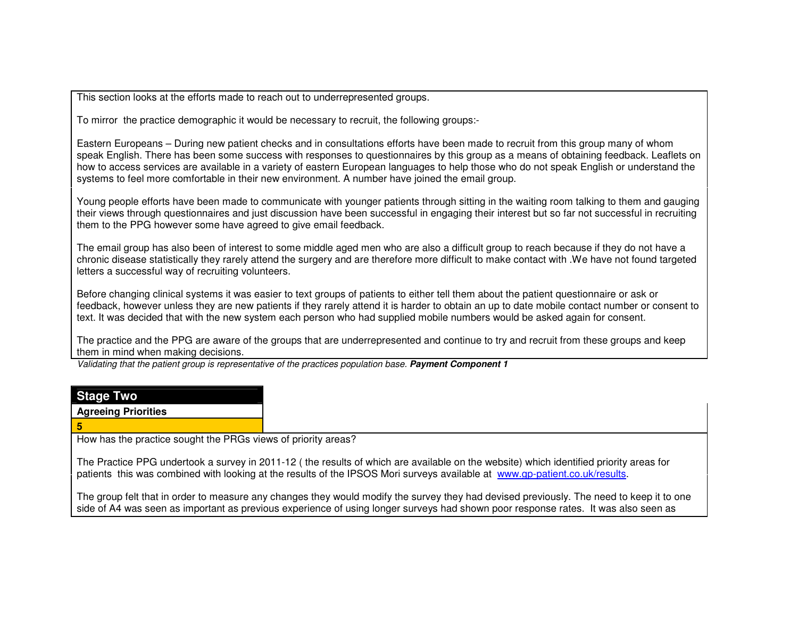This section looks at the efforts made to reach out to underrepresented groups.

To mirror the practice demographic it would be necessary to recruit, the following groups:-

Eastern Europeans – During new patient checks and in consultations efforts have been made to recruit from this group many of whom speak English. There has been some success with responses to questionnaires by this group as a means of obtaining feedback. Leaflets on how to access services are available in a variety of eastern European languages to help those who do not speak English or understand the systems to feel more comfortable in their new environment. A number have joined the email group.

Young people efforts have been made to communicate with younger patients through sitting in the waiting room talking to them and gauging their views through questionnaires and just discussion have been successful in engaging their interest but so far not successful in recruiting them to the PPG however some have agreed to give email feedback.

The email group has also been of interest to some middle aged men who are also a difficult group to reach because if they do not have a chronic disease statistically they rarely attend the surgery and are therefore more difficult to make contact with .We have not found targeted letters a successful way of recruiting volunteers.

Before changing clinical systems it was easier to text groups of patients to either tell them about the patient questionnaire or ask or feedback, however unless they are new patients if they rarely attend it is harder to obtain an up to date mobile contact number or consent to text. It was decided that with the new system each person who had supplied mobile numbers would be asked again for consent.

The practice and the PPG are aware of the groups that are underrepresented and continue to try and recruit from these groups and keep them in mind when making decisions.

Validating that the patient group is representative of the practices population base. **Payment Component 1**

| <b>Stage Two</b>                                              |                                                                                                                                        |
|---------------------------------------------------------------|----------------------------------------------------------------------------------------------------------------------------------------|
| <b>Agreeing Priorities</b>                                    |                                                                                                                                        |
|                                                               |                                                                                                                                        |
| How has the practice sought the PRGs views of priority areas? |                                                                                                                                        |
|                                                               | The Practice PPG undertook a survey in 2011-12 (the results of which are available on the website) which identified priority areas for |

patients this was combined with looking at the results of the IPSOS Mori surveys available at www.gp-patient.co.uk/results.

The group felt that in order to measure any changes they would modify the survey they had devised previously. The need to keep it to one side of A4 was seen as important as previous experience of using longer surveys had shown poor response rates. It was also seen as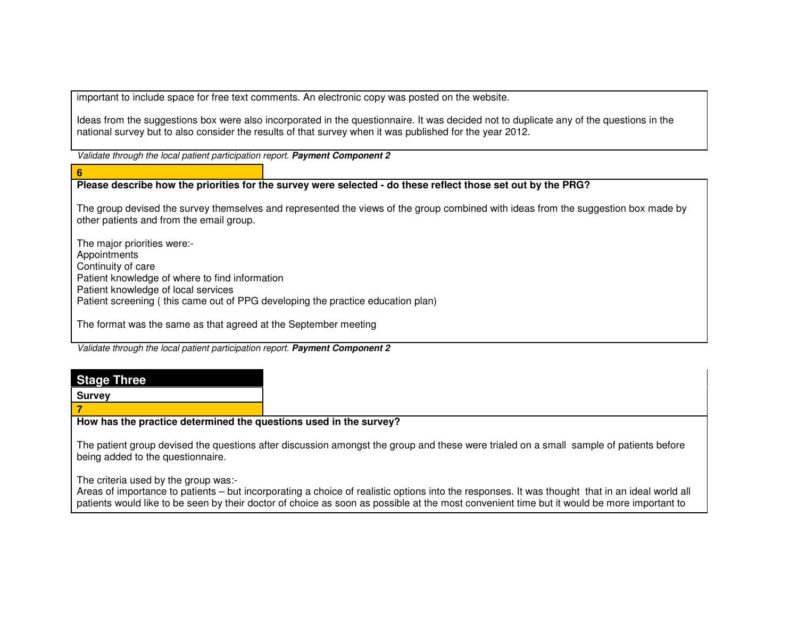important to include space for free text comments. An electronic copy was posted on the website.

Ideas from the suggestions box were also incorporated in the questionnaire. It was decided not to duplicate any of the questions in the national survey but to also consider the results of that survey when it was published for the year 2012.

Validate through the local patient participation report. **Payment Component 2**

#### **6**

## **Please describe how the priorities for the survey were selected - do these reflect those set out by the PRG?**

The group devised the survey themselves and represented the views of the group combined with ideas from the suggestion box made by other patients and from the email group.

The major priorities were:- **Appointments**  Continuity of care Patient knowledge of where to find information Patient knowledge of local services Patient screening ( this came out of PPG developing the practice education plan)

The format was the same as that agreed at the September meeting

Validate through the local patient participation report. **Payment Component 2**

# **Stage Three**

**Survey** 

**7** 

**How has the practice determined the questions used in the survey?** 

The patient group devised the questions after discussion amongst the group and these were trialed on a small sample of patients before being added to the questionnaire.

The criteria used by the group was:-

 Areas of importance to patients – but incorporating a choice of realistic options into the responses. It was thought that in an ideal world all patients would like to be seen by their doctor of choice as soon as possible at the most convenient time but it would be more important to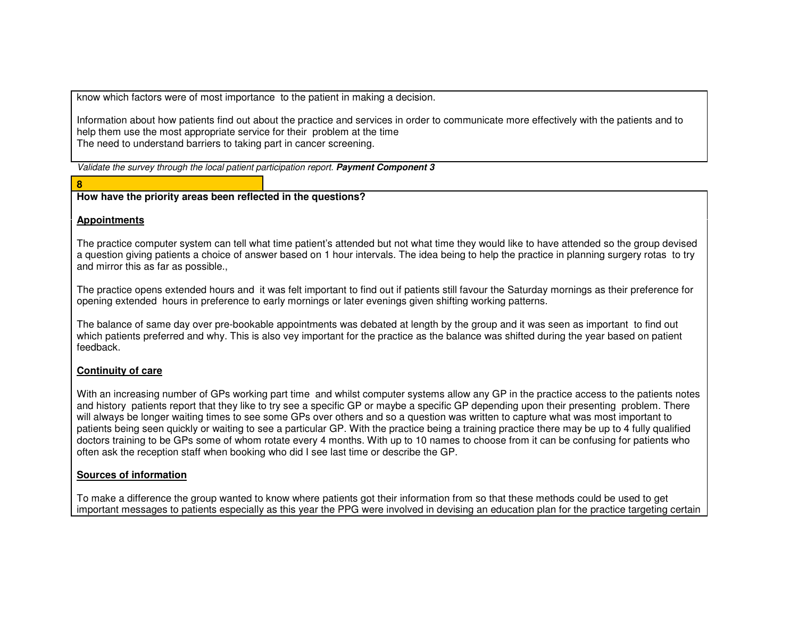know which factors were of most importance to the patient in making a decision.

Information about how patients find out about the practice and services in order to communicate more effectively with the patients and to help them use the most appropriate service for their problem at the time The need to understand barriers to taking part in cancer screening.

Validate the survey through the local patient participation report. **Payment Component 3**

#### **8**

**How have the priority areas been reflected in the questions?** 

#### **Appointments**

The practice computer system can tell what time patient's attended but not what time they would like to have attended so the group devised a question giving patients a choice of answer based on 1 hour intervals. The idea being to help the practice in planning surgery rotas to try and mirror this as far as possible.,

The practice opens extended hours and it was felt important to find out if patients still favour the Saturday mornings as their preference for opening extended hours in preference to early mornings or later evenings given shifting working patterns.

The balance of same day over pre-bookable appointments was debated at length by the group and it was seen as important to find out which patients preferred and why. This is also vey important for the practice as the balance was shifted during the year based on patient feedback.

## **Continuity of care**

With an increasing number of GPs working part time and whilst computer systems allow any GP in the practice access to the patients notes and history patients report that they like to try see a specific GP or maybe a specific GP depending upon their presenting problem. There will always be longer waiting times to see some GPs over others and so a question was written to capture what was most important to patients being seen quickly or waiting to see a particular GP. With the practice being a training practice there may be up to 4 fully qualified doctors training to be GPs some of whom rotate every 4 months. With up to 10 names to choose from it can be confusing for patients who often ask the reception staff when booking who did I see last time or describe the GP.

## **Sources of information**

To make a difference the group wanted to know where patients got their information from so that these methods could be used to get important messages to patients especially as this year the PPG were involved in devising an education plan for the practice targeting certain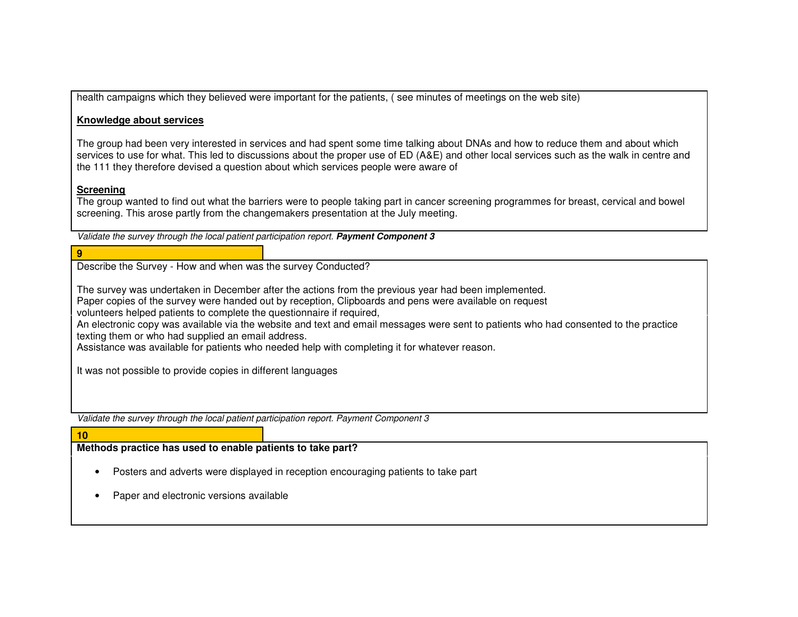health campaigns which they believed were important for the patients, ( see minutes of meetings on the web site)

#### **Knowledge about services**

The group had been very interested in services and had spent some time talking about DNAs and how to reduce them and about which services to use for what. This led to discussions about the proper use of ED (A&E) and other local services such as the walk in centre and the 111 they therefore devised a question about which services people were aware of

#### **Screening**

**9** 

 The group wanted to find out what the barriers were to people taking part in cancer screening programmes for breast, cervical and bowel screening. This arose partly from the changemakers presentation at the July meeting.

Validate the survey through the local patient participation report. **Payment Component 3**

#### Describe the Survey - How and when was the survey Conducted?

The survey was undertaken in December after the actions from the previous year had been implemented.

Paper copies of the survey were handed out by reception, Clipboards and pens were available on request

volunteers helped patients to complete the questionnaire if required,

 An electronic copy was available via the website and text and email messages were sent to patients who had consented to the practice texting them or who had supplied an email address.

Assistance was available for patients who needed help with completing it for whatever reason.

It was not possible to provide copies in different languages

Validate the survey through the local patient participation report. Payment Component 3

# **10**

## **Methods practice has used to enable patients to take part?**

- Posters and adverts were displayed in reception encouraging patients to take part
- Paper and electronic versions available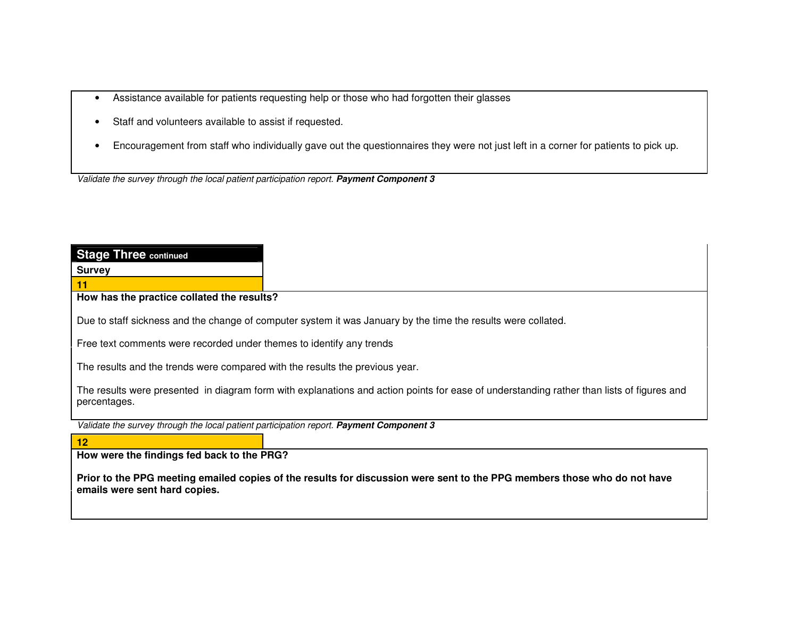- Assistance available for patients requesting help or those who had forgotten their glasses
- Staff and volunteers available to assist if requested.
- Encouragement from staff who individually gave out the questionnaires they were not just left in a corner for patients to pick up.

Validate the survey through the local patient participation report. **Payment Component 3**

| <b>Stage Three continued</b>                                                                                                                              |
|-----------------------------------------------------------------------------------------------------------------------------------------------------------|
| <b>Survey</b>                                                                                                                                             |
|                                                                                                                                                           |
| How has the practice collated the results?                                                                                                                |
| Due to staff sickness and the change of computer system it was January by the time the results were collated.                                             |
| Free text comments were recorded under themes to identify any trends                                                                                      |
| The results and the trends were compared with the results the previous year.                                                                              |
| The results were presented in diagram form with explanations and action points for ease of understanding rather than lists of figures and<br>percentages. |
| Validate the survey through the local patient participation report. Payment Component 3                                                                   |
| $\vert$ 12                                                                                                                                                |
| How were the findings fed back to the PRG?                                                                                                                |
| Prior to the PPG meeting emailed copies of the results for discussion were sent to the PPG members those who do not have<br>emails were sent hard copies. |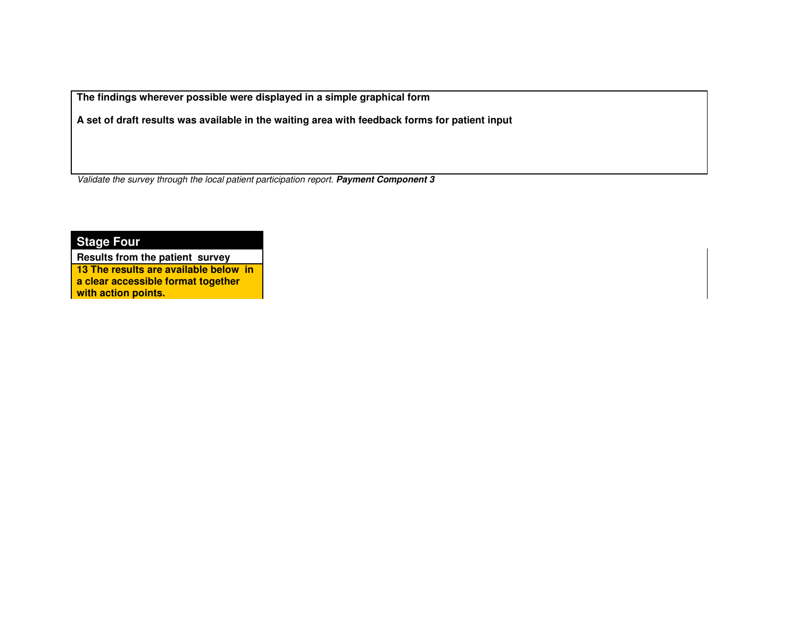**The findings wherever possible were displayed in a simple graphical form** 

**A set of draft results was available in the waiting area with feedback forms for patient input** 

Validate the survey through the local patient participation report. **Payment Component 3**

**Stage Four** 

**Results from the patient survey 13 The results are available below in a clear accessible format together with action points.**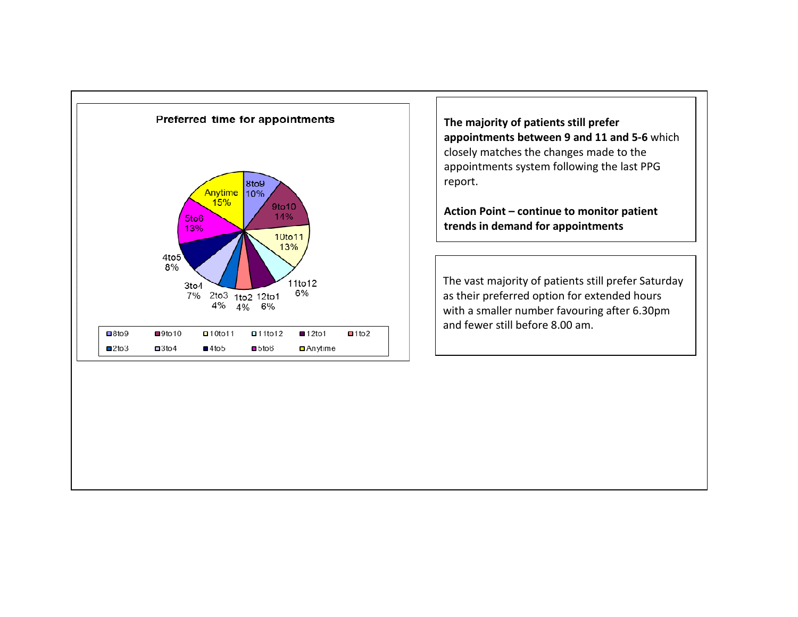

The majority of patients still prefer appointments between 9 and 11 and 5-6 which closely matches the changes made to the appointments system following the last PPG report.

Action Point – continue to monitor patient trends in demand for appointments

The vast majority of patients still prefer Saturdayas their preferred option for extended hours with a smaller number favouring after 6.30pm and fewer still before 8.00 am.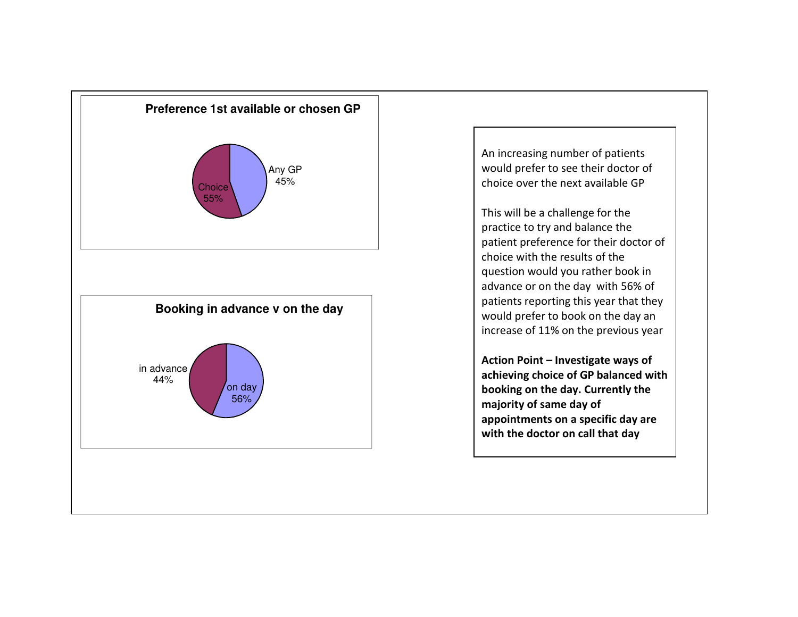

An increasing number of patients would prefer to see their doctor of choice over the next available GP

This will be a challenge for the practice to try and balance the patient preference for their doctor of choice with the results of the question would you rather book in advance or on the day with 56% of patients reporting this year that they would prefer to book on the day an increase of 11% on the previous year

Action Point – Investigate ways of achieving choice of GP balanced with booking on the day. Currently the majority of same day of appointments on a specific day are with the doctor on call that day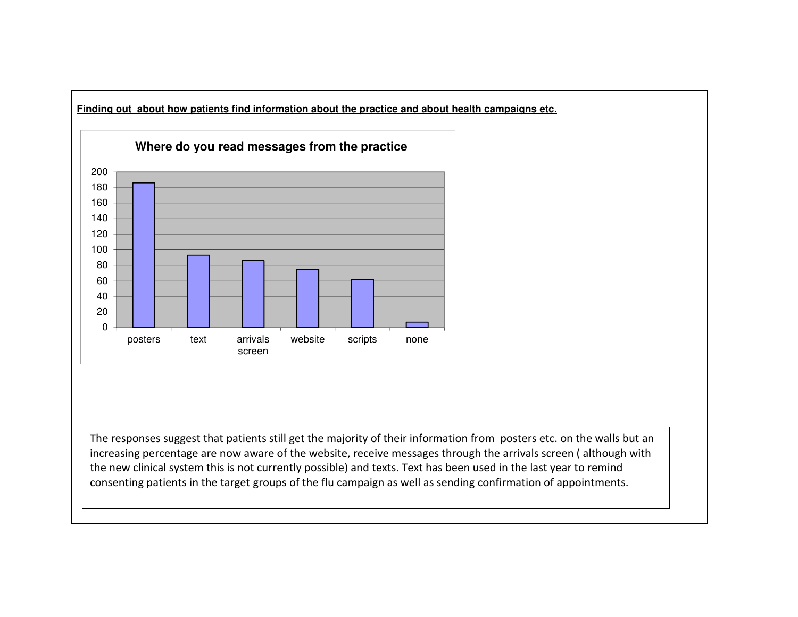

The responses suggest that patients still get the majority of their information from posters etc. on the walls but an increasing percentage are now aware of the website, receive messages through the arrivals screen ( although with the new clinical system this is not currently possible) and texts. Text has been used in the last year to remind consenting patients in the target groups of the flu campaign as well as sending confirmation of appointments.

**Finding out about how patients find information about the practice and about health campaigns etc.**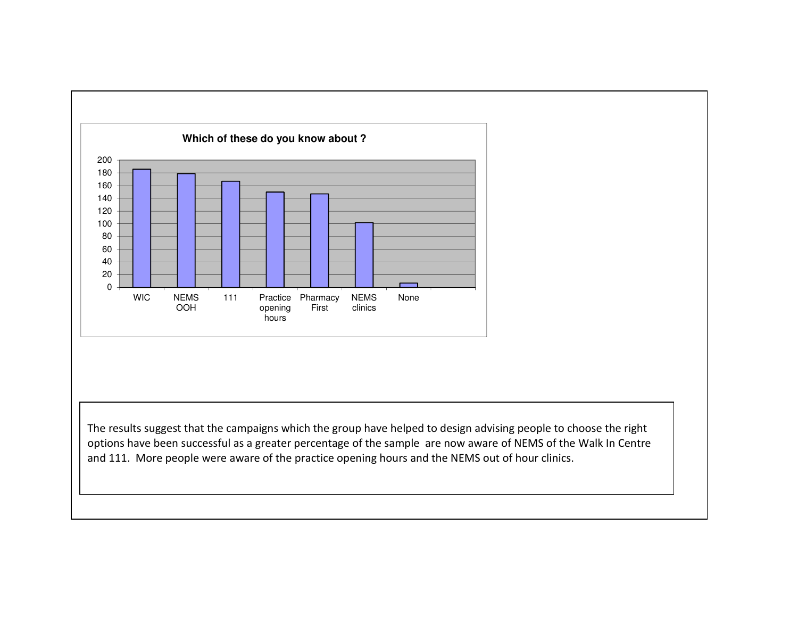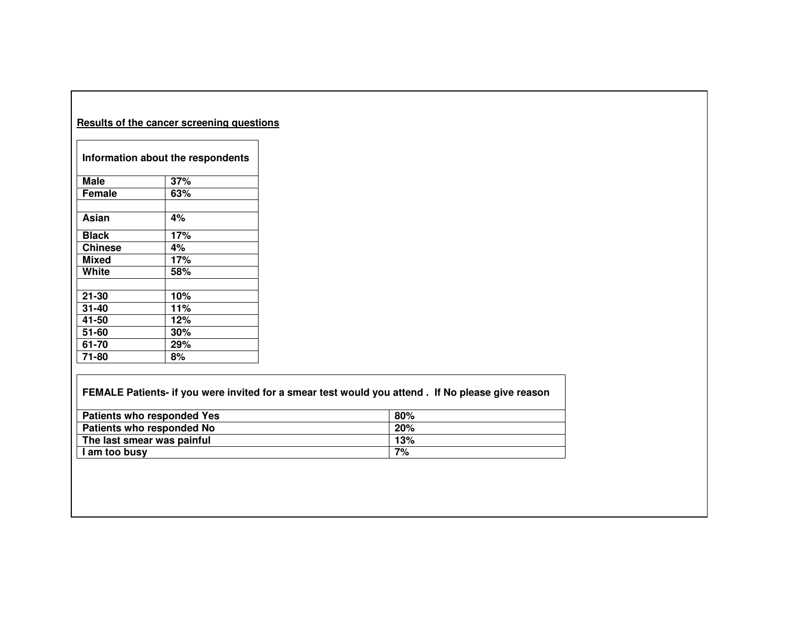| Results of the cancer screening questions |                                   |  |
|-------------------------------------------|-----------------------------------|--|
|                                           | Information about the respondents |  |
| <b>Male</b>                               | 37%                               |  |
| Female                                    | 63%                               |  |
| Asian                                     | 4%                                |  |
| <b>Black</b>                              | 17%                               |  |
| <b>Chinese</b>                            | 4%                                |  |
| Mixed                                     | 17%                               |  |
| White                                     | 58%                               |  |
|                                           |                                   |  |
| 21-30                                     | 10%                               |  |
| 31-40                                     | 11%                               |  |
| 41-50                                     | 12%                               |  |
| 51-60                                     | 30%                               |  |
| 61-70                                     | 29%                               |  |
| 71-80                                     | 8%                                |  |

| FEMALE Patients- if you were invited for a smear test would you attend. If No please give reason |     |  |
|--------------------------------------------------------------------------------------------------|-----|--|
| <b>Patients who responded Yes</b>                                                                | 80% |  |
| Patients who responded No                                                                        | 20% |  |
| The last smear was painful                                                                       | 13% |  |
| I am too busy                                                                                    | 7%  |  |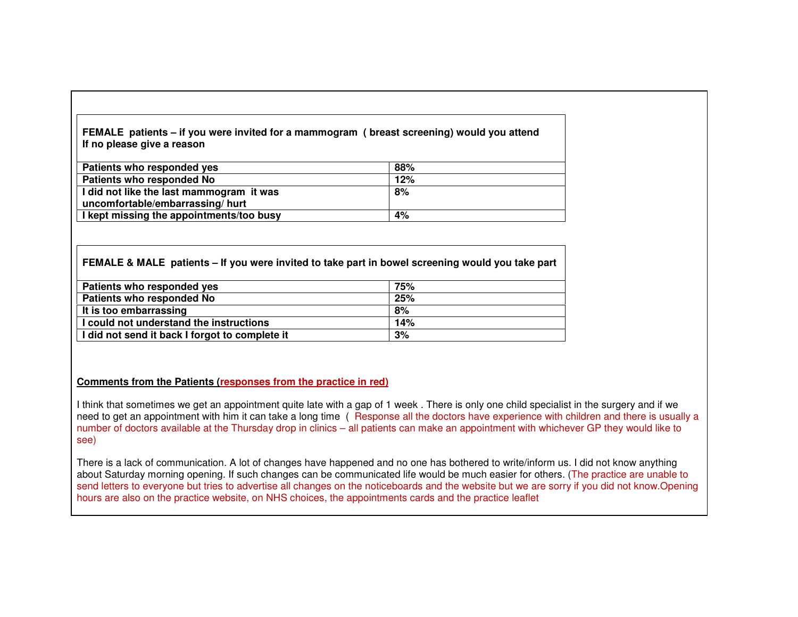#### **FEMALE patients – if you were invited for a mammogram ( breast screening) would you attend If no please give a reason**

| Patients who responded yes               | 88% |
|------------------------------------------|-----|
| <b>Patients who responded No</b>         | 12% |
| I did not like the last mammogram it was | 8%  |
| uncomfortable/embarrassing/ hurt         |     |
| I kept missing the appointments/too busy | 4%  |

#### **FEMALE & MALE patients – If you were invited to take part in bowel screening would you take part**

| Patients who responded yes                     | 75% |
|------------------------------------------------|-----|
| Patients who responded No                      | 25% |
| It is too embarrassing                         | 8%  |
| I could not understand the instructions        | 14% |
| I did not send it back I forgot to complete it | 3%  |

## **Comments from the Patients (responses from the practice in red)**

I think that sometimes we get an appointment quite late with a gap of 1 week . There is only one child specialist in the surgery and if we need to get an appointment with him it can take a long time (Response all the doctors have experience with children and there is usually a number of doctors available at the Thursday drop in clinics – all patients can make an appointment with whichever GP they would like to see)

There is a lack of communication. A lot of changes have happened and no one has bothered to write/inform us. I did not know anything about Saturday morning opening. If such changes can be communicated life would be much easier for others. (The practice are unable to send letters to everyone but tries to advertise all changes on the noticeboards and the website but we are sorry if you did not know.Opening hours are also on the practice website, on NHS choices, the appointments cards and the practice leaflet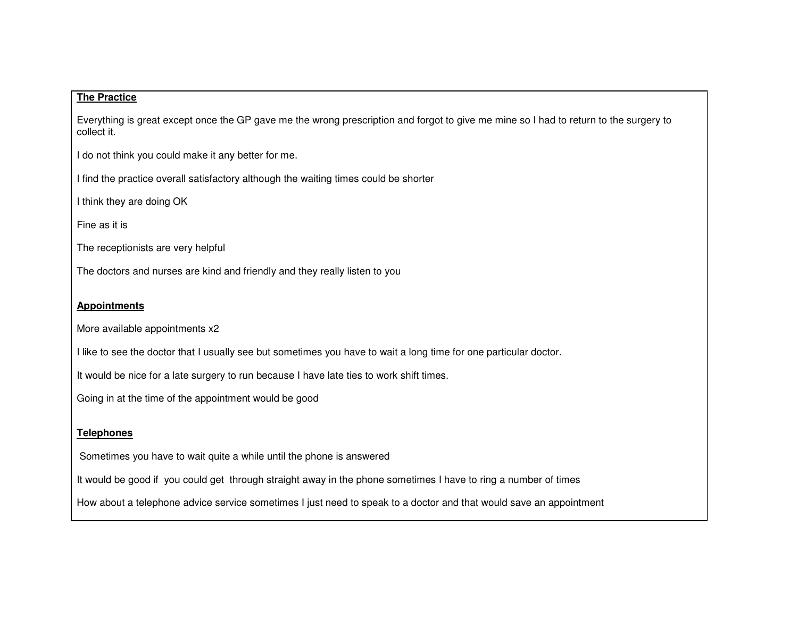#### **The Practice**

Everything is great except once the GP gave me the wrong prescription and forgot to give me mine so I had to return to the surgery to collect it.

I do not think you could make it any better for me.

I find the practice overall satisfactory although the waiting times could be shorter

I think they are doing OK

Fine as it is

The receptionists are very helpful

The doctors and nurses are kind and friendly and they really listen to you

#### **Appointments**

More available appointments x2

I like to see the doctor that I usually see but sometimes you have to wait a long time for one particular doctor.

It would be nice for a late surgery to run because I have late ties to work shift times.

Going in at the time of the appointment would be good

## **Telephones**

Sometimes you have to wait quite a while until the phone is answered

It would be good if you could get through straight away in the phone sometimes I have to ring a number of times

How about a telephone advice service sometimes I just need to speak to a doctor and that would save an appointment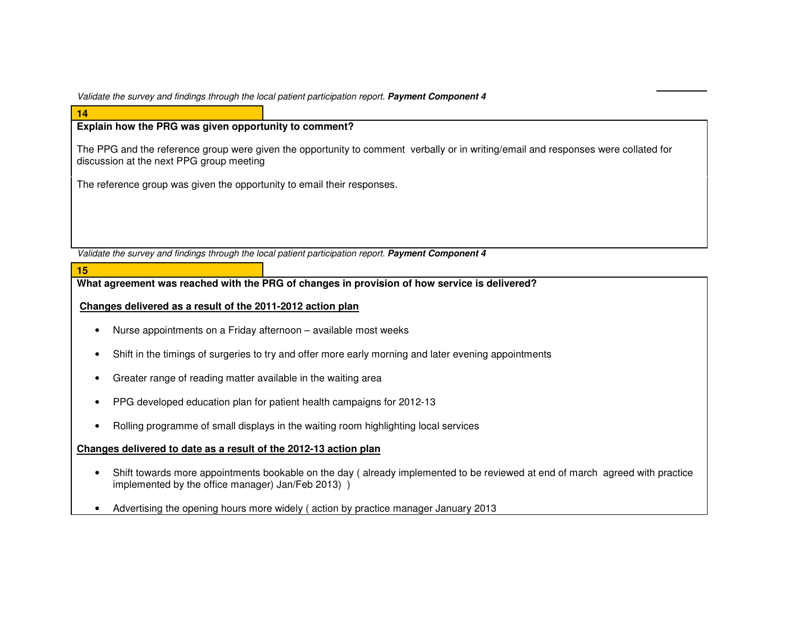Validate the survey and findings through the local patient participation report. **Payment Component 4**

# **Explain how the PRG was given opportunity to comment?**

**14** 

**15** 

The PPG and the reference group were given the opportunity to comment verbally or in writing/email and responses were collated for discussion at the next PPG group meeting

The reference group was given the opportunity to email their responses.

Validate the survey and findings through the local patient participation report. **Payment Component 4**

**What agreement was reached with the PRG of changes in provision of how service is delivered?** 

#### **Changes delivered as a result of the 2011-2012 action plan**

- Nurse appointments on a Friday afternoon available most weeks
- Shift in the timings of surgeries to try and offer more early morning and later evening appointments
- Greater range of reading matter available in the waiting area
- PPG developed education plan for patient health campaigns for 2012-13
- Rolling programme of small displays in the waiting room highlighting local services

#### **Changes delivered to date as a result of the 2012-13 action plan**

- Shift towards more appointments bookable on the day ( already implemented to be reviewed at end of march agreed with practice implemented by the office manager) Jan/Feb 2013) )
- Advertising the opening hours more widely ( action by practice manager January 2013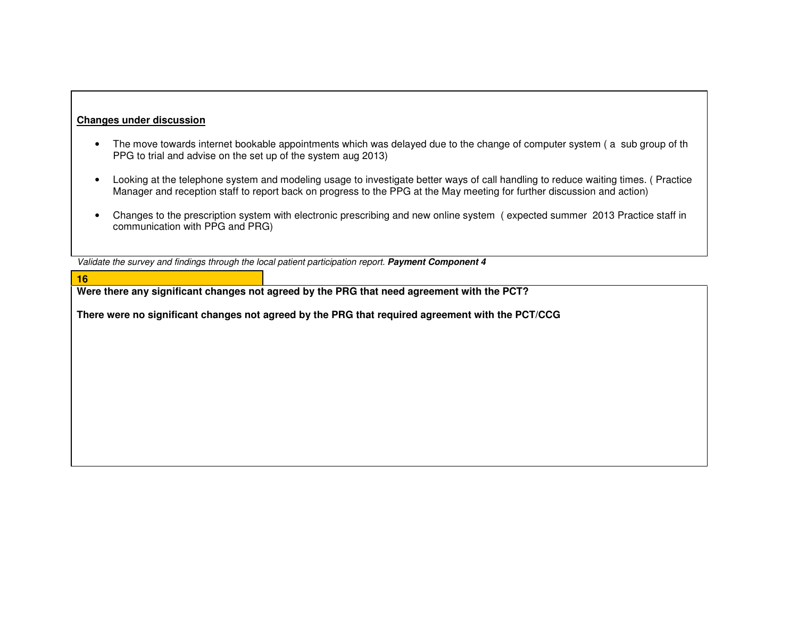## **Changes under discussion**

**16** 

- The move towards internet bookable appointments which was delayed due to the change of computer system ( a sub group of th PPG to trial and advise on the set up of the system aug 2013)
- Looking at the telephone system and modeling usage to investigate better ways of call handling to reduce waiting times. ( Practice Manager and reception staff to report back on progress to the PPG at the May meeting for further discussion and action)
- Changes to the prescription system with electronic prescribing and new online system ( expected summer 2013 Practice staff in communication with PPG and PRG)

Validate the survey and findings through the local patient participation report. **Payment Component 4**

|                                                                                                  | Were there any significant changes not agreed by the PRG that need agreement with the PCT? |  |
|--------------------------------------------------------------------------------------------------|--------------------------------------------------------------------------------------------|--|
| There were no significant changes not agreed by the PRG that required agreement with the PCT/CCG |                                                                                            |  |
|                                                                                                  |                                                                                            |  |
|                                                                                                  |                                                                                            |  |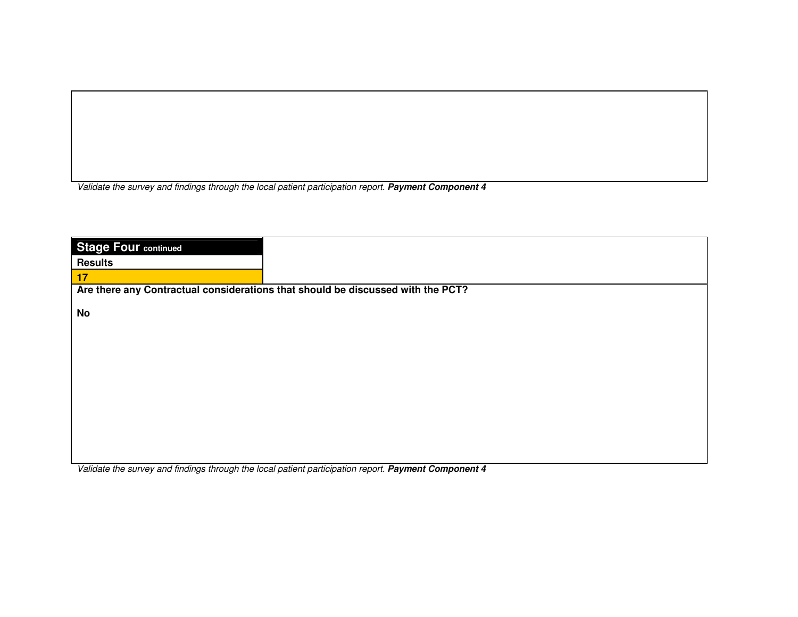Validate the survey and findings through the local patient participation report. **Payment Component 4**

| <b>Stage Four continued</b> |                                                                                 |
|-----------------------------|---------------------------------------------------------------------------------|
| <b>Results</b>              |                                                                                 |
| 17                          |                                                                                 |
|                             | Are there any Contractual considerations that should be discussed with the PCT? |
| <b>No</b>                   |                                                                                 |
|                             |                                                                                 |
|                             |                                                                                 |
|                             |                                                                                 |
|                             |                                                                                 |
|                             |                                                                                 |
|                             |                                                                                 |
|                             |                                                                                 |
|                             |                                                                                 |
|                             |                                                                                 |

Validate the survey and findings through the local patient participation report. **Payment Component 4**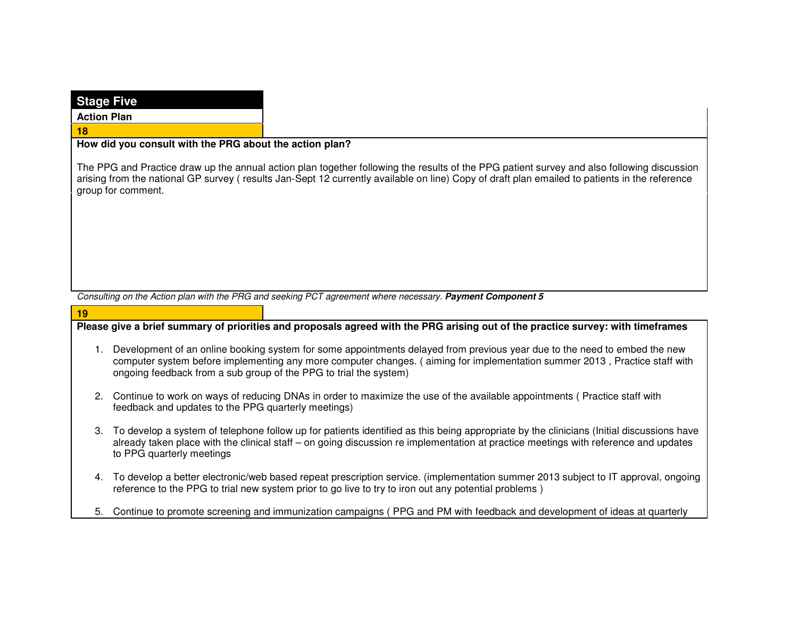| <b>Stage Five</b>  |                                                                                                                                                                                                                                                                                                                              |  |
|--------------------|------------------------------------------------------------------------------------------------------------------------------------------------------------------------------------------------------------------------------------------------------------------------------------------------------------------------------|--|
| <b>Action Plan</b> |                                                                                                                                                                                                                                                                                                                              |  |
| 18                 |                                                                                                                                                                                                                                                                                                                              |  |
|                    | How did you consult with the PRG about the action plan?                                                                                                                                                                                                                                                                      |  |
|                    | The PPG and Practice draw up the annual action plan together following the results of the PPG patient survey and also following discussion<br>arising from the national GP survey (results Jan-Sept 12 currently available on line) Copy of draft plan emailed to patients in the reference<br>group for comment.            |  |
|                    |                                                                                                                                                                                                                                                                                                                              |  |
|                    |                                                                                                                                                                                                                                                                                                                              |  |
|                    |                                                                                                                                                                                                                                                                                                                              |  |
|                    |                                                                                                                                                                                                                                                                                                                              |  |
|                    |                                                                                                                                                                                                                                                                                                                              |  |
|                    | Consulting on the Action plan with the PRG and seeking PCT agreement where necessary. Payment Component 5                                                                                                                                                                                                                    |  |
| 19                 |                                                                                                                                                                                                                                                                                                                              |  |
|                    | Please give a brief summary of priorities and proposals agreed with the PRG arising out of the practice survey: with timeframes                                                                                                                                                                                              |  |
| 1.                 | Development of an online booking system for some appointments delayed from previous year due to the need to embed the new<br>computer system before implementing any more computer changes. (aiming for implementation summer 2013, Practice staff with<br>ongoing feedback from a sub group of the PPG to trial the system) |  |
|                    | 2. Continue to work on ways of reducing DNAs in order to maximize the use of the available appointments (Practice staff with<br>feedback and updates to the PPG quarterly meetings)                                                                                                                                          |  |
|                    | 3. To develop a system of telephone follow up for patients identified as this being appropriate by the clinicians (Initial discussions have<br>already taken place with the clinical staff – on going discussion re implementation at practice meetings with reference and updates<br>to PPG quarterly meetings              |  |
|                    | 4. To develop a better electronic/web based repeat prescription service. (implementation summer 2013 subject to IT approval, ongoing<br>reference to the PPG to trial new system prior to go live to try to iron out any potential problems)                                                                                 |  |
|                    | 5. Continue to promote screening and immunization campaigns (PPG and PM with feedback and development of ideas at quarterly                                                                                                                                                                                                  |  |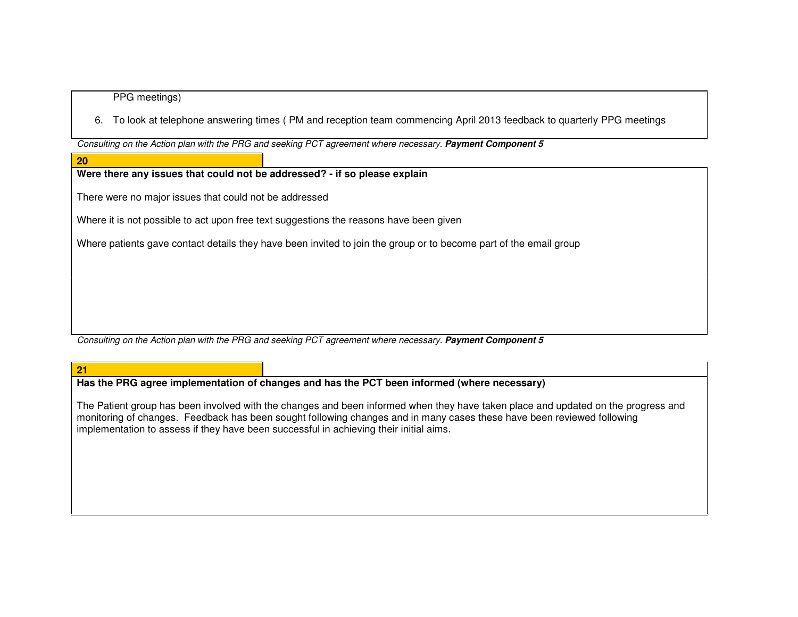#### PPG meetings)

6. To look at telephone answering times ( PM and reception team commencing April 2013 feedback to quarterly PPG meetings

Consulting on the Action plan with the PRG and seeking PCT agreement where necessary. **Payment Component 5**

#### **20**

# **Were there any issues that could not be addressed? - if so please explain**

There were no major issues that could not be addressed

Where it is not possible to act upon free text suggestions the reasons have been given

Where patients gave contact details they have been invited to join the group or to become part of the email group

Consulting on the Action plan with the PRG and seeking PCT agreement where necessary. **Payment Component 5**

#### **21**

**Has the PRG agree implementation of changes and has the PCT been informed (where necessary)** 

The Patient group has been involved with the changes and been informed when they have taken place and updated on the progress and monitoring of changes. Feedback has been sought following changes and in many cases these have been reviewed following implementation to assess if they have been successful in achieving their initial aims.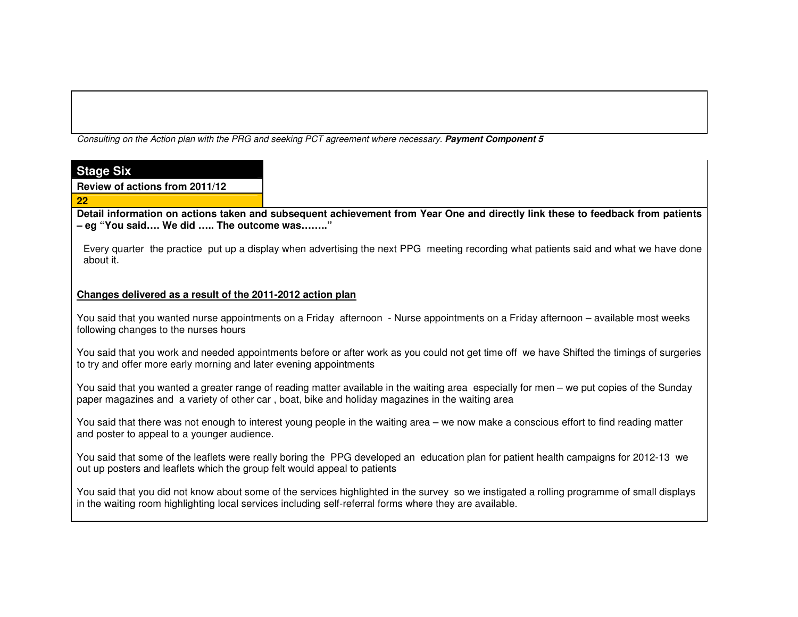Consulting on the Action plan with the PRG and seeking PCT agreement where necessary. **Payment Component 5**

| <b>Stage Six</b>                                                          |                                                                                                                                                                                                                                                       |
|---------------------------------------------------------------------------|-------------------------------------------------------------------------------------------------------------------------------------------------------------------------------------------------------------------------------------------------------|
| Review of actions from 2011/12                                            |                                                                                                                                                                                                                                                       |
| 22                                                                        |                                                                                                                                                                                                                                                       |
| - eg "You said We did  The outcome was"                                   | Detail information on actions taken and subsequent achievement from Year One and directly link these to feedback from patients                                                                                                                        |
| about it.                                                                 | Every quarter the practice put up a display when advertising the next PPG meeting recording what patients said and what we have done                                                                                                                  |
| Changes delivered as a result of the 2011-2012 action plan                |                                                                                                                                                                                                                                                       |
| following changes to the nurses hours                                     | You said that you wanted nurse appointments on a Friday afternoon - Nurse appointments on a Friday afternoon – available most weeks                                                                                                                   |
| to try and offer more early morning and later evening appointments        | You said that you work and needed appointments before or after work as you could not get time off we have Shifted the timings of surgeries                                                                                                            |
|                                                                           | You said that you wanted a greater range of reading matter available in the waiting area especially for men – we put copies of the Sunday<br>paper magazines and a variety of other car, boat, bike and holiday magazines in the waiting area         |
| and poster to appeal to a younger audience.                               | You said that there was not enough to interest young people in the waiting area – we now make a conscious effort to find reading matter                                                                                                               |
| out up posters and leaflets which the group felt would appeal to patients | You said that some of the leaflets were really boring the PPG developed an education plan for patient health campaigns for 2012-13 we                                                                                                                 |
|                                                                           | You said that you did not know about some of the services highlighted in the survey so we instigated a rolling programme of small displays<br>in the waiting room highlighting local services including self-referral forms where they are available. |
|                                                                           |                                                                                                                                                                                                                                                       |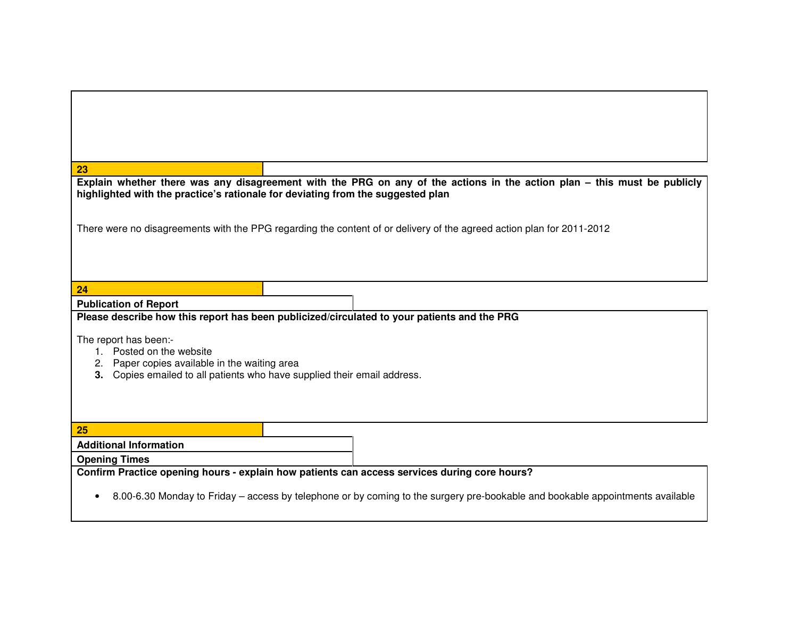| 23                                                                                                                                                                                                          |  |  |
|-------------------------------------------------------------------------------------------------------------------------------------------------------------------------------------------------------------|--|--|
| Explain whether there was any disagreement with the PRG on any of the actions in the action plan – this must be publicly<br>highlighted with the practice's rationale for deviating from the suggested plan |  |  |
|                                                                                                                                                                                                             |  |  |
|                                                                                                                                                                                                             |  |  |
| There were no disagreements with the PPG regarding the content of or delivery of the agreed action plan for 2011-2012                                                                                       |  |  |
|                                                                                                                                                                                                             |  |  |
|                                                                                                                                                                                                             |  |  |
|                                                                                                                                                                                                             |  |  |
| 24                                                                                                                                                                                                          |  |  |
| <b>Publication of Report</b>                                                                                                                                                                                |  |  |
| Please describe how this report has been publicized/circulated to your patients and the PRG                                                                                                                 |  |  |
| The report has been:-                                                                                                                                                                                       |  |  |
| 1. Posted on the website                                                                                                                                                                                    |  |  |
| 2. Paper copies available in the waiting area                                                                                                                                                               |  |  |
| 3. Copies emailed to all patients who have supplied their email address.                                                                                                                                    |  |  |
|                                                                                                                                                                                                             |  |  |
|                                                                                                                                                                                                             |  |  |
| 25                                                                                                                                                                                                          |  |  |
| <b>Additional Information</b>                                                                                                                                                                               |  |  |
| <b>Opening Times</b>                                                                                                                                                                                        |  |  |
| Confirm Practice opening hours - explain how patients can access services during core hours?                                                                                                                |  |  |
|                                                                                                                                                                                                             |  |  |
| 8.00-6.30 Monday to Friday – access by telephone or by coming to the surgery pre-bookable and bookable appointments available<br>$\bullet$                                                                  |  |  |
|                                                                                                                                                                                                             |  |  |